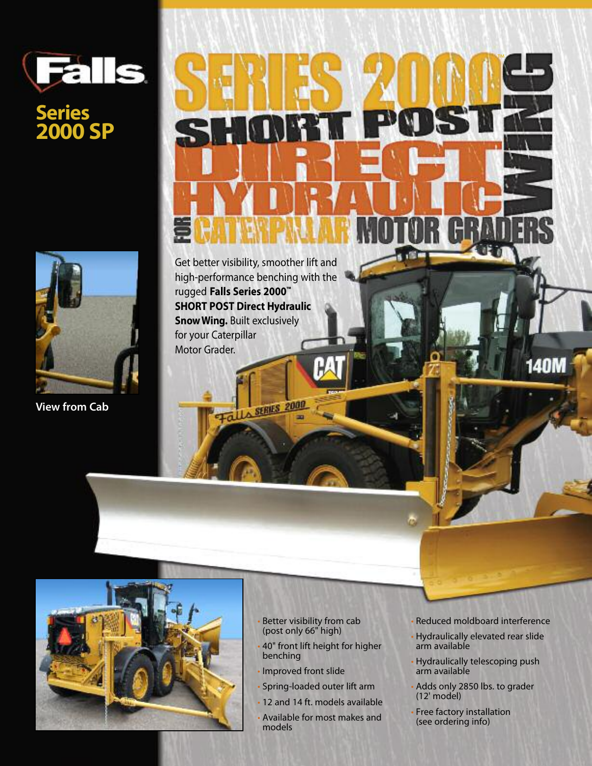## **Falls**

## **Series 2000 SP**



**View from Cab**



Get better visibility, smoother lift and high-performance benching with the rugged **Falls Series 2000™ SHORT POST Direct Hydraulic SnowWing.** Built exclusively for your Caterpillar Motor Grader.

**LA SERIES 2000** 



- Better visibility from cab (post only 66" high)
- 40" front lift height for higher benching
- Improved front slide
- Spring-loaded outer lift arm
- 12 and 14 ft. models available
- Available for most makes and models

• Reduced moldboard interference

**140M** 

- Hydraulically elevated rear slide arm available
- Hydraulically telescoping push arm available
- Adds only 2850 lbs. to grader (12' model)
- Free factory installation (see ordering info)